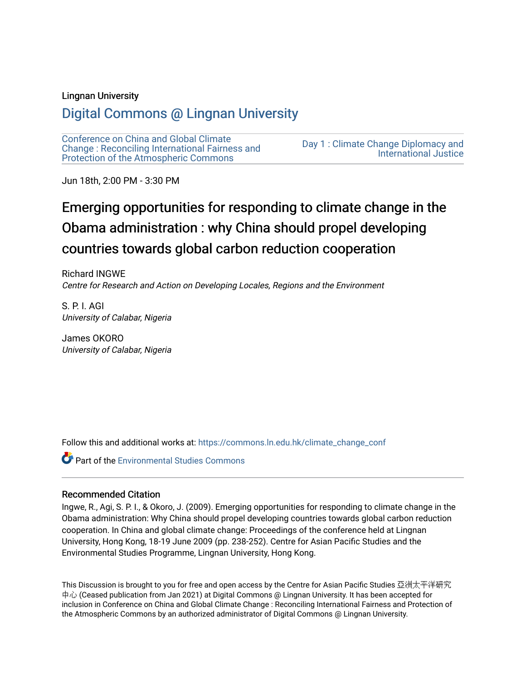## Lingnan University

# [Digital Commons @ Lingnan University](https://commons.ln.edu.hk/)

[Conference on China and Global Climate](https://commons.ln.edu.hk/climate_change_conf)  [Change : Reconciling International Fairness and](https://commons.ln.edu.hk/climate_change_conf)  [Protection of the Atmospheric Commons](https://commons.ln.edu.hk/climate_change_conf)

[Day 1 : Climate Change Diplomacy and](https://commons.ln.edu.hk/climate_change_conf/day1)  [International Justice](https://commons.ln.edu.hk/climate_change_conf/day1) 

Jun 18th, 2:00 PM - 3:30 PM

# Emerging opportunities for responding to climate change in the Obama administration : why China should propel developing countries towards global carbon reduction cooperation

Richard INGWE Centre for Research and Action on Developing Locales, Regions and the Environment

S. P. I. AGI University of Calabar, Nigeria

James OKORO University of Calabar, Nigeria

Follow this and additional works at: [https://commons.ln.edu.hk/climate\\_change\\_conf](https://commons.ln.edu.hk/climate_change_conf?utm_source=commons.ln.edu.hk%2Fclimate_change_conf%2Fday1%2Fs3%2F5&utm_medium=PDF&utm_campaign=PDFCoverPages) 

**C** Part of the [Environmental Studies Commons](https://network.bepress.com/hgg/discipline/1333?utm_source=commons.ln.edu.hk%2Fclimate_change_conf%2Fday1%2Fs3%2F5&utm_medium=PDF&utm_campaign=PDFCoverPages)

### Recommended Citation

Ingwe, R., Agi, S. P. I., & Okoro, J. (2009). Emerging opportunities for responding to climate change in the Obama administration: Why China should propel developing countries towards global carbon reduction cooperation. In China and global climate change: Proceedings of the conference held at Lingnan University, Hong Kong, 18-19 June 2009 (pp. 238-252). Centre for Asian Pacific Studies and the Environmental Studies Programme, Lingnan University, Hong Kong.

This Discussion is brought to you for free and open access by the Centre for Asian Pacific Studies 亞洲太平洋研究 中心 (Ceased publication from Jan 2021) at Digital Commons @ Lingnan University. It has been accepted for inclusion in Conference on China and Global Climate Change : Reconciling International Fairness and Protection of the Atmospheric Commons by an authorized administrator of Digital Commons @ Lingnan University.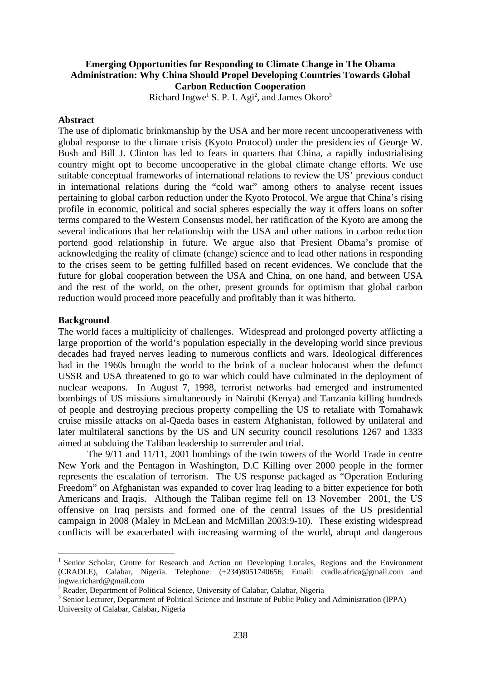# **Emerging Opportunities for Responding to Climate Change in The Obama Administration: Why China Should Propel Developing Countries Towards Global Carbon Reduction Cooperation**

Richard Ingwe<sup>1</sup> S. P. I. Agi<sup>2</sup>, and James Okoro<sup>3</sup>

## **Abstract**

The use of diplomatic brinkmanship by the USA and her more recent uncooperativeness with global response to the climate crisis (Kyoto Protocol) under the presidencies of George W. Bush and Bill J. Clinton has led to fears in quarters that China, a rapidly industrialising country might opt to become uncooperative in the global climate change efforts. We use suitable conceptual frameworks of international relations to review the US' previous conduct in international relations during the "cold war" among others to analyse recent issues pertaining to global carbon reduction under the Kyoto Protocol. We argue that China's rising profile in economic, political and social spheres especially the way it offers loans on softer terms compared to the Western Consensus model, her ratification of the Kyoto are among the several indications that her relationship with the USA and other nations in carbon reduction portend good relationship in future. We argue also that Presient Obama's promise of acknowledging the reality of climate (change) science and to lead other nations in responding to the crises seem to be getting fulfilled based on recent evidences. We conclude that the future for global cooperation between the USA and China, on one hand, and between USA and the rest of the world, on the other, present grounds for optimism that global carbon reduction would proceed more peacefully and profitably than it was hitherto.

### **Background**

1

The world faces a multiplicity of challenges. Widespread and prolonged poverty afflicting a large proportion of the world's population especially in the developing world since previous decades had frayed nerves leading to numerous conflicts and wars. Ideological differences had in the 1960s brought the world to the brink of a nuclear holocaust when the defunct USSR and USA threatened to go to war which could have culminated in the deployment of nuclear weapons. In August 7, 1998, terrorist networks had emerged and instrumented bombings of US missions simultaneously in Nairobi (Kenya) and Tanzania killing hundreds of people and destroying precious property compelling the US to retaliate with Tomahawk cruise missile attacks on al-Qaeda bases in eastern Afghanistan, followed by unilateral and later multilateral sanctions by the US and UN security council resolutions 1267 and 1333 aimed at subduing the Taliban leadership to surrender and trial.

The 9/11 and 11/11, 2001 bombings of the twin towers of the World Trade in centre New York and the Pentagon in Washington, D.C Killing over 2000 people in the former represents the escalation of terrorism. The US response packaged as "Operation Enduring Freedom" on Afghanistan was expanded to cover Iraq leading to a bitter experience for both Americans and Iraqis. Although the Taliban regime fell on 13 November 2001, the US offensive on Iraq persists and formed one of the central issues of the US presidential campaign in 2008 (Maley in McLean and McMillan 2003:9-10). These existing widespread conflicts will be exacerbated with increasing warming of the world, abrupt and dangerous

<sup>1</sup> Senior Scholar, Centre for Research and Action on Developing Locales, Regions and the Environment (CRADLE), Calabar, Nigeria. Telephone: (+234)8051740656; Email: cradle.africa@gmail.com and ingwe.richard@gmail.com

<sup>&</sup>lt;sup>2</sup> Reader, Department of Political Science, University of Calabar, Calabar, Nigeria

<sup>&</sup>lt;sup>3</sup> Senior Lecturer, Department of Political Science and Institute of Public Policy and Administration (IPPA) University of Calabar, Calabar, Nigeria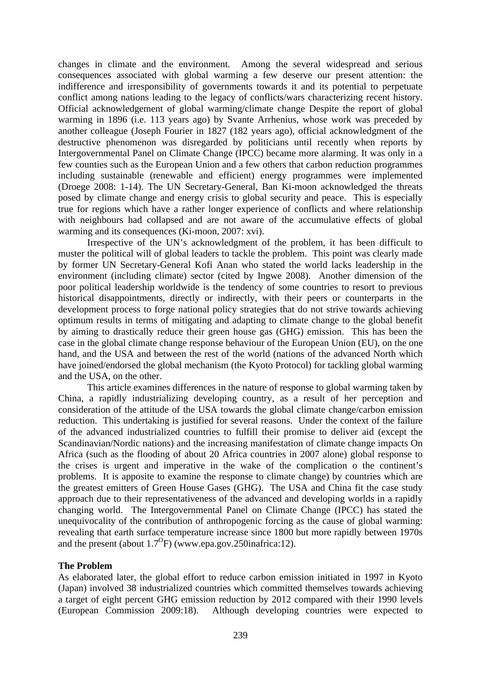changes in climate and the environment. Among the several widespread and serious consequences associated with global warming a few deserve our present attention: the indifference and irresponsibility of governments towards it and its potential to perpetuate conflict among nations leading to the legacy of conflicts/wars characterizing recent history. Official acknowledgement of global warming/climate change Despite the report of global warming in 1896 (i.e. 113 years ago) by Svante Arrhenius, whose work was preceded by another colleague (Joseph Fourier in 1827 (182 years ago), official acknowledgment of the destructive phenomenon was disregarded by politicians until recently when reports by Intergovernmental Panel on Climate Change (IPCC) became more alarming. It was only in a few counties such as the European Union and a few others that carbon reduction programmes including sustainable (renewable and efficient) energy programmes were implemented (Droege 2008: 1-14). The UN Secretary-General, Ban Ki-moon acknowledged the threats posed by climate change and energy crisis to global security and peace. This is especially true for regions which have a rather longer experience of conflicts and where relationship with neighbours had collapsed and are not aware of the accumulative effects of global warming and its consequences (Ki-moon, 2007: xvi).

Irrespective of the UN's acknowledgment of the problem, it has been difficult to muster the political will of global leaders to tackle the problem. This point was clearly made by former UN Secretary-General Kofi Anan who stated the world lacks leadership in the environment (including climate) sector (cited by Ingwe 2008). Another dimension of the poor political leadership worldwide is the tendency of some countries to resort to previous historical disappointments, directly or indirectly, with their peers or counterparts in the development process to forge national policy strategies that do not strive towards achieving optimum results in terms of mitigating and adapting to climate change to the global benefit by aiming to drastically reduce their green house gas (GHG) emission. This has been the case in the global climate change response behaviour of the European Union (EU), on the one hand, and the USA and between the rest of the world (nations of the advanced North which have joined/endorsed the global mechanism (the Kyoto Protocol) for tackling global warming and the USA, on the other.

This article examines differences in the nature of response to global warming taken by China, a rapidly industrializing developing country, as a result of her perception and consideration of the attitude of the USA towards the global climate change/carbon emission reduction. This undertaking is justified for several reasons. Under the context of the failure of the advanced industrialized countries to fulfill their promise to deliver aid (except the Scandinavian/Nordic nations) and the increasing manifestation of climate change impacts On Africa (such as the flooding of about 20 Africa countries in 2007 alone) global response to the crises is urgent and imperative in the wake of the complication o the continent's problems. It is apposite to examine the response to climate change) by countries which are the greatest emitters of Green House Gases (GHG). The USA and China fit the case study approach due to their representativeness of the advanced and developing worlds in a rapidly changing world. The Intergovernmental Panel on Climate Change (IPCC) has stated the unequivocality of the contribution of anthropogenic forcing as the cause of global warming: revealing that earth surface temperature increase since 1800 but more rapidly between 1970s and the present (about  $1.7^{\circ}$ F) (www.epa.gov.250inafrica:12).

# **The Problem**

As elaborated later, the global effort to reduce carbon emission initiated in 1997 in Kyoto (Japan) involved 38 industrialized countries which committed themselves towards achieving a target of eight percent GHG emission reduction by 2012 compared with their 1990 levels (European Commission 2009:18). Although developing countries were expected to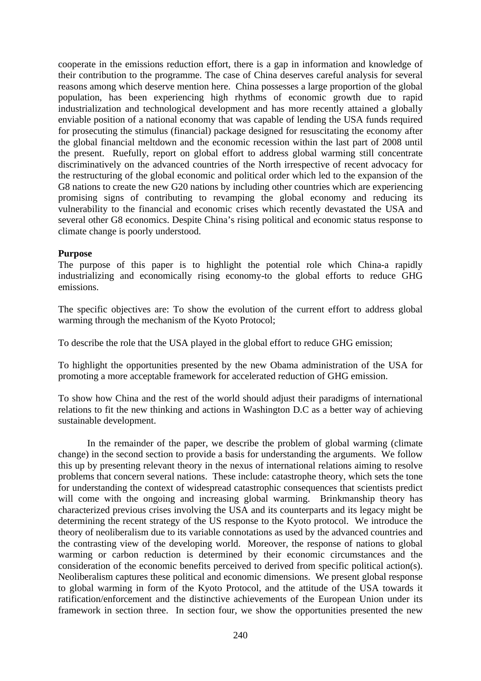cooperate in the emissions reduction effort, there is a gap in information and knowledge of their contribution to the programme. The case of China deserves careful analysis for several reasons among which deserve mention here. China possesses a large proportion of the global population, has been experiencing high rhythms of economic growth due to rapid industrialization and technological development and has more recently attained a globally enviable position of a national economy that was capable of lending the USA funds required for prosecuting the stimulus (financial) package designed for resuscitating the economy after the global financial meltdown and the economic recession within the last part of 2008 until the present. Ruefully, report on global effort to address global warming still concentrate discriminatively on the advanced countries of the North irrespective of recent advocacy for the restructuring of the global economic and political order which led to the expansion of the G8 nations to create the new G20 nations by including other countries which are experiencing promising signs of contributing to revamping the global economy and reducing its vulnerability to the financial and economic crises which recently devastated the USA and several other G8 economics. Despite China's rising political and economic status response to climate change is poorly understood.

# **Purpose**

The purpose of this paper is to highlight the potential role which China-a rapidly industrializing and economically rising economy-to the global efforts to reduce GHG emissions.

The specific objectives are: To show the evolution of the current effort to address global warming through the mechanism of the Kyoto Protocol;

To describe the role that the USA played in the global effort to reduce GHG emission;

To highlight the opportunities presented by the new Obama administration of the USA for promoting a more acceptable framework for accelerated reduction of GHG emission.

To show how China and the rest of the world should adjust their paradigms of international relations to fit the new thinking and actions in Washington D.C as a better way of achieving sustainable development.

In the remainder of the paper, we describe the problem of global warming (climate change) in the second section to provide a basis for understanding the arguments. We follow this up by presenting relevant theory in the nexus of international relations aiming to resolve problems that concern several nations. These include: catastrophe theory, which sets the tone for understanding the context of widespread catastrophic consequences that scientists predict will come with the ongoing and increasing global warming. Brinkmanship theory has characterized previous crises involving the USA and its counterparts and its legacy might be determining the recent strategy of the US response to the Kyoto protocol. We introduce the theory of neoliberalism due to its variable connotations as used by the advanced countries and the contrasting view of the developing world. Moreover, the response of nations to global warming or carbon reduction is determined by their economic circumstances and the consideration of the economic benefits perceived to derived from specific political action(s). Neoliberalism captures these political and economic dimensions. We present global response to global warming in form of the Kyoto Protocol, and the attitude of the USA towards it ratification/enforcement and the distinctive achievements of the European Union under its framework in section three. In section four, we show the opportunities presented the new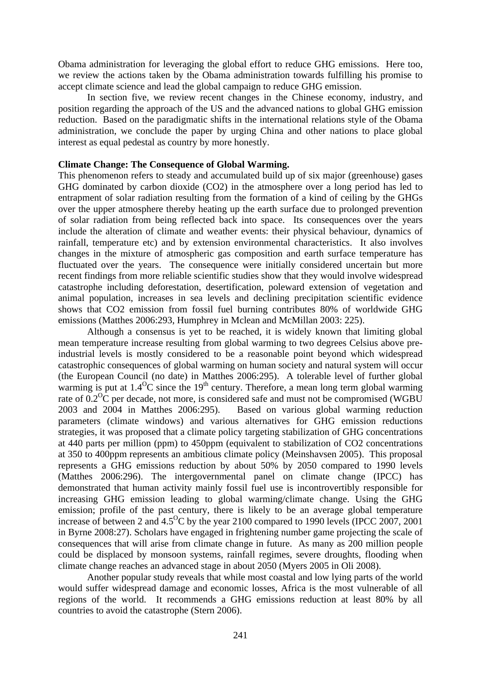Obama administration for leveraging the global effort to reduce GHG emissions. Here too, we review the actions taken by the Obama administration towards fulfilling his promise to accept climate science and lead the global campaign to reduce GHG emission.

In section five, we review recent changes in the Chinese economy, industry, and position regarding the approach of the US and the advanced nations to global GHG emission reduction. Based on the paradigmatic shifts in the international relations style of the Obama administration, we conclude the paper by urging China and other nations to place global interest as equal pedestal as country by more honestly.

## **Climate Change: The Consequence of Global Warming.**

This phenomenon refers to steady and accumulated build up of six major (greenhouse) gases GHG dominated by carbon dioxide (CO2) in the atmosphere over a long period has led to entrapment of solar radiation resulting from the formation of a kind of ceiling by the GHGs over the upper atmosphere thereby heating up the earth surface due to prolonged prevention of solar radiation from being reflected back into space. Its consequences over the years include the alteration of climate and weather events: their physical behaviour, dynamics of rainfall, temperature etc) and by extension environmental characteristics. It also involves changes in the mixture of atmospheric gas composition and earth surface temperature has fluctuated over the years. The consequence were initially considered uncertain but more recent findings from more reliable scientific studies show that they would involve widespread catastrophe including deforestation, desertification, poleward extension of vegetation and animal population, increases in sea levels and declining precipitation scientific evidence shows that CO2 emission from fossil fuel burning contributes 80% of worldwide GHG emissions (Matthes 2006:293, Humphrey in Mclean and McMillan 2003: 225).

Although a consensus is yet to be reached, it is widely known that limiting global mean temperature increase resulting from global warming to two degrees Celsius above preindustrial levels is mostly considered to be a reasonable point beyond which widespread catastrophic consequences of global warming on human society and natural system will occur (the European Council (no date) in Matthes 2006:295). A tolerable level of further global warming is put at  $1.4^{\circ}$ C since the 19<sup>th</sup> century. Therefore, a mean long term global warming rate of  $0.2^{\circ}$ C per decade, not more, is considered safe and must not be compromised (WGBU) 2003 and 2004 in Matthes 2006:295). Based on various global warming reduction parameters (climate windows) and various alternatives for GHG emission reductions strategies, it was proposed that a climate policy targeting stabilization of GHG concentrations at 440 parts per million (ppm) to 450ppm (equivalent to stabilization of CO2 concentrations at 350 to 400ppm represents an ambitious climate policy (Meinshavsen 2005). This proposal represents a GHG emissions reduction by about 50% by 2050 compared to 1990 levels (Matthes 2006:296). The intergovernmental panel on climate change (IPCC) has demonstrated that human activity mainly fossil fuel use is incontrovertibly responsible for increasing GHG emission leading to global warming/climate change. Using the GHG emission; profile of the past century, there is likely to be an average global temperature increase of between 2 and  $4.5^{\circ}$ C by the year 2100 compared to 1990 levels (IPCC 2007, 2001) in Byrne 2008:27). Scholars have engaged in frightening number game projecting the scale of consequences that will arise from climate change in future. As many as 200 million people could be displaced by monsoon systems, rainfall regimes, severe droughts, flooding when climate change reaches an advanced stage in about 2050 (Myers 2005 in Oli 2008).

Another popular study reveals that while most coastal and low lying parts of the world would suffer widespread damage and economic losses, Africa is the most vulnerable of all regions of the world. It recommends a GHG emissions reduction at least 80% by all countries to avoid the catastrophe (Stern 2006).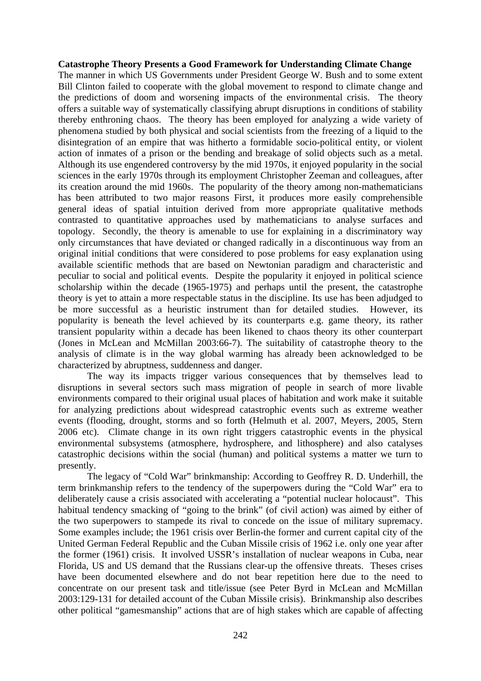## **Catastrophe Theory Presents a Good Framework for Understanding Climate Change**

The manner in which US Governments under President George W. Bush and to some extent Bill Clinton failed to cooperate with the global movement to respond to climate change and the predictions of doom and worsening impacts of the environmental crisis. The theory offers a suitable way of systematically classifying abrupt disruptions in conditions of stability thereby enthroning chaos. The theory has been employed for analyzing a wide variety of phenomena studied by both physical and social scientists from the freezing of a liquid to the disintegration of an empire that was hitherto a formidable socio-political entity, or violent action of inmates of a prison or the bending and breakage of solid objects such as a metal. Although its use engendered controversy by the mid 1970s, it enjoyed popularity in the social sciences in the early 1970s through its employment Christopher Zeeman and colleagues, after its creation around the mid 1960s. The popularity of the theory among non-mathematicians has been attributed to two major reasons First, it produces more easily comprehensible general ideas of spatial intuition derived from more appropriate qualitative methods contrasted to quantitative approaches used by mathematicians to analyse surfaces and topology. Secondly, the theory is amenable to use for explaining in a discriminatory way only circumstances that have deviated or changed radically in a discontinuous way from an original initial conditions that were considered to pose problems for easy explanation using available scientific methods that are based on Newtonian paradigm and characteristic and peculiar to social and political events. Despite the popularity it enjoyed in political science scholarship within the decade (1965-1975) and perhaps until the present, the catastrophe theory is yet to attain a more respectable status in the discipline. Its use has been adjudged to be more successful as a heuristic instrument than for detailed studies. However, its popularity is beneath the level achieved by its counterparts e.g. game theory, its rather transient popularity within a decade has been likened to chaos theory its other counterpart (Jones in McLean and McMillan 2003:66-7). The suitability of catastrophe theory to the analysis of climate is in the way global warming has already been acknowledged to be characterized by abruptness, suddenness and danger.

The way its impacts trigger various consequences that by themselves lead to disruptions in several sectors such mass migration of people in search of more livable environments compared to their original usual places of habitation and work make it suitable for analyzing predictions about widespread catastrophic events such as extreme weather events (flooding, drought, storms and so forth (Helmuth et al. 2007, Meyers, 2005, Stern 2006 etc). Climate change in its own right triggers catastrophic events in the physical environmental subsystems (atmosphere, hydrosphere, and lithosphere) and also catalyses catastrophic decisions within the social (human) and political systems a matter we turn to presently.

The legacy of "Cold War" brinkmanship: According to Geoffrey R. D. Underhill, the term brinkmanship refers to the tendency of the superpowers during the "Cold War" era to deliberately cause a crisis associated with accelerating a "potential nuclear holocaust". This habitual tendency smacking of "going to the brink" (of civil action) was aimed by either of the two superpowers to stampede its rival to concede on the issue of military supremacy. Some examples include; the 1961 crisis over Berlin-the former and current capital city of the United German Federal Republic and the Cuban Missile crisis of 1962 i.e. only one year after the former (1961) crisis. It involved USSR's installation of nuclear weapons in Cuba, near Florida, US and US demand that the Russians clear-up the offensive threats. Theses crises have been documented elsewhere and do not bear repetition here due to the need to concentrate on our present task and title/issue (see Peter Byrd in McLean and McMillan 2003:129-131 for detailed account of the Cuban Missile crisis). Brinkmanship also describes other political "gamesmanship" actions that are of high stakes which are capable of affecting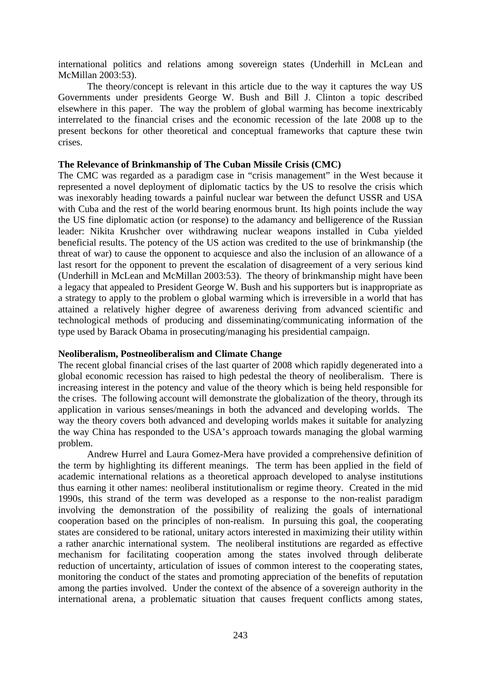international politics and relations among sovereign states (Underhill in McLean and McMillan 2003:53).

The theory/concept is relevant in this article due to the way it captures the way US Governments under presidents George W. Bush and Bill J. Clinton a topic described elsewhere in this paper. The way the problem of global warming has become inextricably interrelated to the financial crises and the economic recession of the late 2008 up to the present beckons for other theoretical and conceptual frameworks that capture these twin crises.

# **The Relevance of Brinkmanship of The Cuban Missile Crisis (CMC)**

The CMC was regarded as a paradigm case in "crisis management" in the West because it represented a novel deployment of diplomatic tactics by the US to resolve the crisis which was inexorably heading towards a painful nuclear war between the defunct USSR and USA with Cuba and the rest of the world bearing enormous brunt. Its high points include the way the US fine diplomatic action (or response) to the adamancy and belligerence of the Russian leader: Nikita Krushcher over withdrawing nuclear weapons installed in Cuba yielded beneficial results. The potency of the US action was credited to the use of brinkmanship (the threat of war) to cause the opponent to acquiesce and also the inclusion of an allowance of a last resort for the opponent to prevent the escalation of disagreement of a very serious kind (Underhill in McLean and McMillan 2003:53). The theory of brinkmanship might have been a legacy that appealed to President George W. Bush and his supporters but is inappropriate as a strategy to apply to the problem o global warming which is irreversible in a world that has attained a relatively higher degree of awareness deriving from advanced scientific and technological methods of producing and disseminating/communicating information of the type used by Barack Obama in prosecuting/managing his presidential campaign.

# **Neoliberalism, Postneoliberalism and Climate Change**

The recent global financial crises of the last quarter of 2008 which rapidly degenerated into a global economic recession has raised to high pedestal the theory of neoliberalism. There is increasing interest in the potency and value of the theory which is being held responsible for the crises. The following account will demonstrate the globalization of the theory, through its application in various senses/meanings in both the advanced and developing worlds. The way the theory covers both advanced and developing worlds makes it suitable for analyzing the way China has responded to the USA's approach towards managing the global warming problem.

Andrew Hurrel and Laura Gomez-Mera have provided a comprehensive definition of the term by highlighting its different meanings. The term has been applied in the field of academic international relations as a theoretical approach developed to analyse institutions thus earning it other names: neoliberal institutionalism or regime theory. Created in the mid 1990s, this strand of the term was developed as a response to the non-realist paradigm involving the demonstration of the possibility of realizing the goals of international cooperation based on the principles of non-realism. In pursuing this goal, the cooperating states are considered to be rational, unitary actors interested in maximizing their utility within a rather anarchic international system. The neoliberal institutions are regarded as effective mechanism for facilitating cooperation among the states involved through deliberate reduction of uncertainty, articulation of issues of common interest to the cooperating states, monitoring the conduct of the states and promoting appreciation of the benefits of reputation among the parties involved. Under the context of the absence of a sovereign authority in the international arena, a problematic situation that causes frequent conflicts among states,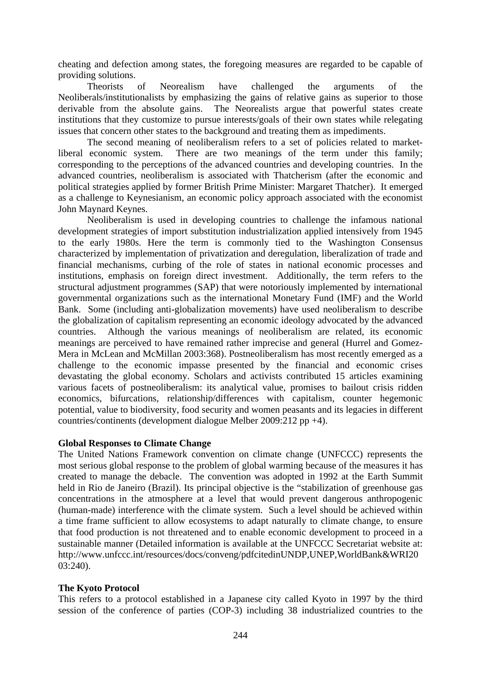cheating and defection among states, the foregoing measures are regarded to be capable of providing solutions.

Theorists of Neorealism have challenged the arguments of the Neoliberals/institutionalists by emphasizing the gains of relative gains as superior to those derivable from the absolute gains. The Neorealists argue that powerful states create institutions that they customize to pursue interests/goals of their own states while relegating issues that concern other states to the background and treating them as impediments.

The second meaning of neoliberalism refers to a set of policies related to marketliberal economic system. There are two meanings of the term under this family; corresponding to the perceptions of the advanced countries and developing countries. In the advanced countries, neoliberalism is associated with Thatcherism (after the economic and political strategies applied by former British Prime Minister: Margaret Thatcher). It emerged as a challenge to Keynesianism, an economic policy approach associated with the economist John Maynard Keynes.

Neoliberalism is used in developing countries to challenge the infamous national development strategies of import substitution industrialization applied intensively from 1945 to the early 1980s. Here the term is commonly tied to the Washington Consensus characterized by implementation of privatization and deregulation, liberalization of trade and financial mechanisms, curbing of the role of states in national economic processes and institutions, emphasis on foreign direct investment. Additionally, the term refers to the structural adjustment programmes (SAP) that were notoriously implemented by international governmental organizations such as the international Monetary Fund (IMF) and the World Bank. Some (including anti-globalization movements) have used neoliberalism to describe the globalization of capitalism representing an economic ideology advocated by the advanced countries. Although the various meanings of neoliberalism are related, its economic meanings are perceived to have remained rather imprecise and general (Hurrel and Gomez-Mera in McLean and McMillan 2003:368). Postneoliberalism has most recently emerged as a challenge to the economic impasse presented by the financial and economic crises devastating the global economy. Scholars and activists contributed 15 articles examining various facets of postneoliberalism: its analytical value, promises to bailout crisis ridden economics, bifurcations, relationship/differences with capitalism, counter hegemonic potential, value to biodiversity, food security and women peasants and its legacies in different countries/continents (development dialogue Melber 2009:212 pp +4).

# **Global Responses to Climate Change**

The United Nations Framework convention on climate change (UNFCCC) represents the most serious global response to the problem of global warming because of the measures it has created to manage the debacle. The convention was adopted in 1992 at the Earth Summit held in Rio de Janeiro (Brazil). Its principal objective is the "stabilization of greenhouse gas concentrations in the atmosphere at a level that would prevent dangerous anthropogenic (human-made) interference with the climate system. Such a level should be achieved within a time frame sufficient to allow ecosystems to adapt naturally to climate change, to ensure that food production is not threatened and to enable economic development to proceed in a sustainable manner (Detailed information is available at the UNFCCC Secretariat website at: http://www.unfccc.int/resources/docs/conveng/pdfcitedinUNDP,UNEP,WorldBank&WRI20 03:240).

# **The Kyoto Protocol**

This refers to a protocol established in a Japanese city called Kyoto in 1997 by the third session of the conference of parties (COP-3) including 38 industrialized countries to the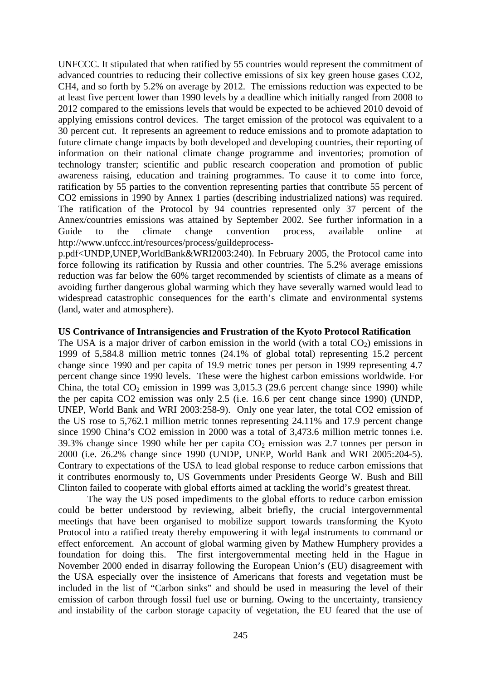UNFCCC. It stipulated that when ratified by 55 countries would represent the commitment of advanced countries to reducing their collective emissions of six key green house gases CO2, CH4, and so forth by 5.2% on average by 2012. The emissions reduction was expected to be at least five percent lower than 1990 levels by a deadline which initially ranged from 2008 to 2012 compared to the emissions levels that would be expected to be achieved 2010 devoid of applying emissions control devices. The target emission of the protocol was equivalent to a 30 percent cut. It represents an agreement to reduce emissions and to promote adaptation to future climate change impacts by both developed and developing countries, their reporting of information on their national climate change programme and inventories; promotion of technology transfer; scientific and public research cooperation and promotion of public awareness raising, education and training programmes. To cause it to come into force, ratification by 55 parties to the convention representing parties that contribute 55 percent of CO2 emissions in 1990 by Annex 1 parties (describing industrialized nations) was required. The ratification of the Protocol by 94 countries represented only 37 percent of the Annex/countries emissions was attained by September 2002. See further information in a Guide to the climate change convention process, available online at http://www.unfccc.int/resources/process/guildeprocess-

p.pdf<UNDP,UNEP,WorldBank&WRI2003:240). In February 2005, the Protocol came into force following its ratification by Russia and other countries. The 5.2% average emissions reduction was far below the 60% target recommended by scientists of climate as a means of avoiding further dangerous global warming which they have severally warned would lead to widespread catastrophic consequences for the earth's climate and environmental systems (land, water and atmosphere).

## **US Contrivance of Intransigencies and Frustration of the Kyoto Protocol Ratification**

The USA is a major driver of carbon emission in the world (with a total  $CO<sub>2</sub>$ ) emissions in 1999 of 5,584.8 million metric tonnes (24.1% of global total) representing 15.2 percent change since 1990 and per capita of 19.9 metric tones per person in 1999 representing 4.7 percent change since 1990 levels. These were the highest carbon emissions worldwide. For China, the total  $CO_2$  emission in 1999 was 3,015.3 (29.6 percent change since 1990) while the per capita CO2 emission was only 2.5 (i.e. 16.6 per cent change since 1990) (UNDP, UNEP, World Bank and WRI 2003:258-9). Only one year later, the total CO2 emission of the US rose to 5,762.1 million metric tonnes representing 24.11% and 17.9 percent change since 1990 China's CO2 emission in 2000 was a total of 3,473.6 million metric tonnes i.e. 39.3% change since 1990 while her per capita  $CO<sub>2</sub>$  emission was 2.7 tonnes per person in 2000 (i.e. 26.2% change since 1990 (UNDP, UNEP, World Bank and WRI 2005:204-5). Contrary to expectations of the USA to lead global response to reduce carbon emissions that it contributes enormously to, US Governments under Presidents George W. Bush and Bill Clinton failed to cooperate with global efforts aimed at tackling the world's greatest threat.

The way the US posed impediments to the global efforts to reduce carbon emission could be better understood by reviewing, albeit briefly, the crucial intergovernmental meetings that have been organised to mobilize support towards transforming the Kyoto Protocol into a ratified treaty thereby empowering it with legal instruments to command or effect enforcement. An account of global warming given by Mathew Humphery provides a foundation for doing this. The first intergovernmental meeting held in the Hague in November 2000 ended in disarray following the European Union's (EU) disagreement with the USA especially over the insistence of Americans that forests and vegetation must be included in the list of "Carbon sinks" and should be used in measuring the level of their emission of carbon through fossil fuel use or burning. Owing to the uncertainty, transiency and instability of the carbon storage capacity of vegetation, the EU feared that the use of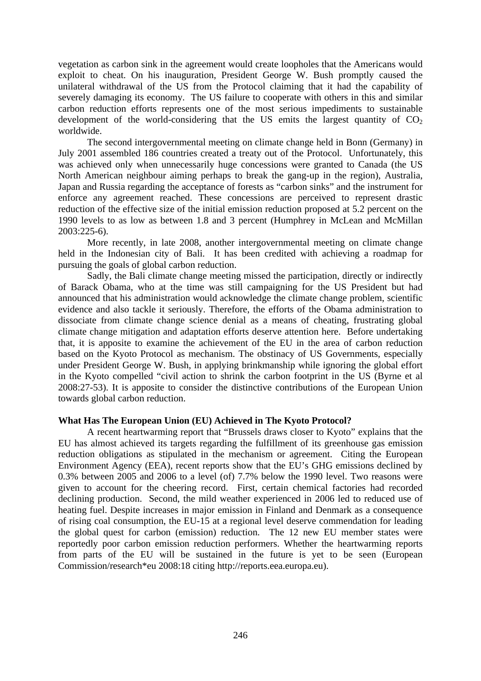vegetation as carbon sink in the agreement would create loopholes that the Americans would exploit to cheat. On his inauguration, President George W. Bush promptly caused the unilateral withdrawal of the US from the Protocol claiming that it had the capability of severely damaging its economy. The US failure to cooperate with others in this and similar carbon reduction efforts represents one of the most serious impediments to sustainable development of the world-considering that the US emits the largest quantity of  $CO<sub>2</sub>$ worldwide.

The second intergovernmental meeting on climate change held in Bonn (Germany) in July 2001 assembled 186 countries created a treaty out of the Protocol. Unfortunately, this was achieved only when unnecessarily huge concessions were granted to Canada (the US North American neighbour aiming perhaps to break the gang-up in the region), Australia, Japan and Russia regarding the acceptance of forests as "carbon sinks" and the instrument for enforce any agreement reached. These concessions are perceived to represent drastic reduction of the effective size of the initial emission reduction proposed at 5.2 percent on the 1990 levels to as low as between 1.8 and 3 percent (Humphrey in McLean and McMillan 2003:225-6).

More recently, in late 2008, another intergovernmental meeting on climate change held in the Indonesian city of Bali. It has been credited with achieving a roadmap for pursuing the goals of global carbon reduction.

Sadly, the Bali climate change meeting missed the participation, directly or indirectly of Barack Obama, who at the time was still campaigning for the US President but had announced that his administration would acknowledge the climate change problem, scientific evidence and also tackle it seriously. Therefore, the efforts of the Obama administration to dissociate from climate change science denial as a means of cheating, frustrating global climate change mitigation and adaptation efforts deserve attention here. Before undertaking that, it is apposite to examine the achievement of the EU in the area of carbon reduction based on the Kyoto Protocol as mechanism. The obstinacy of US Governments, especially under President George W. Bush, in applying brinkmanship while ignoring the global effort in the Kyoto compelled "civil action to shrink the carbon footprint in the US (Byrne et al 2008:27-53). It is apposite to consider the distinctive contributions of the European Union towards global carbon reduction.

# **What Has The European Union (EU) Achieved in The Kyoto Protocol?**

A recent heartwarming report that "Brussels draws closer to Kyoto" explains that the EU has almost achieved its targets regarding the fulfillment of its greenhouse gas emission reduction obligations as stipulated in the mechanism or agreement. Citing the European Environment Agency (EEA), recent reports show that the EU's GHG emissions declined by 0.3% between 2005 and 2006 to a level (of) 7.7% below the 1990 level. Two reasons were given to account for the cheering record. First, certain chemical factories had recorded declining production. Second, the mild weather experienced in 2006 led to reduced use of heating fuel. Despite increases in major emission in Finland and Denmark as a consequence of rising coal consumption, the EU-15 at a regional level deserve commendation for leading the global quest for carbon (emission) reduction. The 12 new EU member states were reportedly poor carbon emission reduction performers. Whether the heartwarming reports from parts of the EU will be sustained in the future is yet to be seen (European Commission/research\*eu 2008:18 citing http://reports.eea.europa.eu).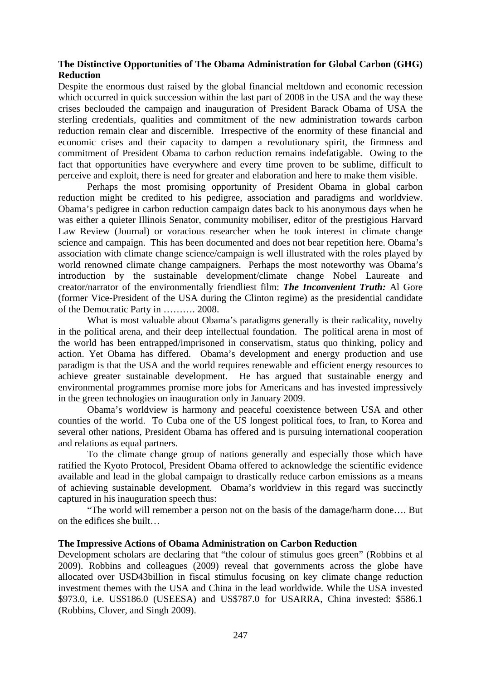# **The Distinctive Opportunities of The Obama Administration for Global Carbon (GHG) Reduction**

Despite the enormous dust raised by the global financial meltdown and economic recession which occurred in quick succession within the last part of 2008 in the USA and the way these crises beclouded the campaign and inauguration of President Barack Obama of USA the sterling credentials, qualities and commitment of the new administration towards carbon reduction remain clear and discernible. Irrespective of the enormity of these financial and economic crises and their capacity to dampen a revolutionary spirit, the firmness and commitment of President Obama to carbon reduction remains indefatigable. Owing to the fact that opportunities have everywhere and every time proven to be sublime, difficult to perceive and exploit, there is need for greater and elaboration and here to make them visible.

Perhaps the most promising opportunity of President Obama in global carbon reduction might be credited to his pedigree, association and paradigms and worldview. Obama's pedigree in carbon reduction campaign dates back to his anonymous days when he was either a quieter Illinois Senator, community mobiliser, editor of the prestigious Harvard Law Review (Journal) or voracious researcher when he took interest in climate change science and campaign. This has been documented and does not bear repetition here. Obama's association with climate change science/campaign is well illustrated with the roles played by world renowned climate change campaigners. Perhaps the most noteworthy was Obama's introduction by the sustainable development/climate change Nobel Laureate and creator/narrator of the environmentally friendliest film: *The Inconvenient Truth:* Al Gore (former Vice-President of the USA during the Clinton regime) as the presidential candidate of the Democratic Party in ………. 2008.

What is most valuable about Obama's paradigms generally is their radicality, novelty in the political arena, and their deep intellectual foundation. The political arena in most of the world has been entrapped/imprisoned in conservatism, status quo thinking, policy and action. Yet Obama has differed. Obama's development and energy production and use paradigm is that the USA and the world requires renewable and efficient energy resources to achieve greater sustainable development. He has argued that sustainable energy and environmental programmes promise more jobs for Americans and has invested impressively in the green technologies on inauguration only in January 2009.

Obama's worldview is harmony and peaceful coexistence between USA and other counties of the world. To Cuba one of the US longest political foes, to Iran, to Korea and several other nations, President Obama has offered and is pursuing international cooperation and relations as equal partners.

To the climate change group of nations generally and especially those which have ratified the Kyoto Protocol, President Obama offered to acknowledge the scientific evidence available and lead in the global campaign to drastically reduce carbon emissions as a means of achieving sustainable development. Obama's worldview in this regard was succinctly captured in his inauguration speech thus:

"The world will remember a person not on the basis of the damage/harm done…. But on the edifices she built…

# **The Impressive Actions of Obama Administration on Carbon Reduction**

Development scholars are declaring that "the colour of stimulus goes green" (Robbins et al 2009). Robbins and colleagues (2009) reveal that governments across the globe have allocated over USD43billion in fiscal stimulus focusing on key climate change reduction investment themes with the USA and China in the lead worldwide. While the USA invested \$973.0, i.e. US\$186.0 (USEESA) and US\$787.0 for USARRA, China invested: \$586.1 (Robbins, Clover, and Singh 2009).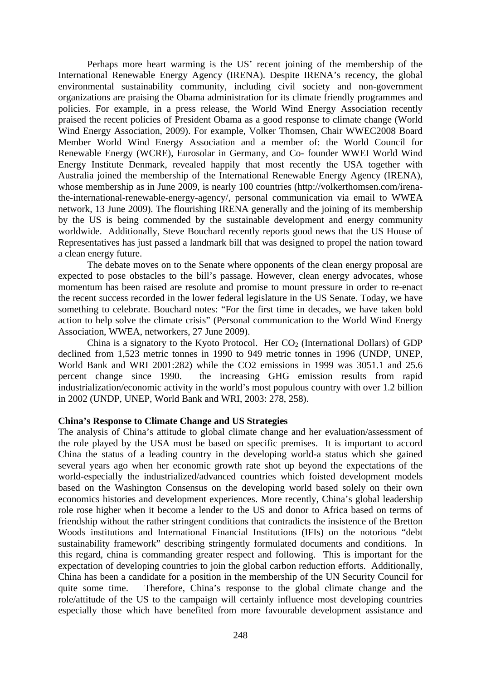Perhaps more heart warming is the US' recent joining of the membership of the International Renewable Energy Agency (IRENA). Despite IRENA's recency, the global environmental sustainability community, including civil society and non-government organizations are praising the Obama administration for its climate friendly programmes and policies. For example, in a press release, the World Wind Energy Association recently praised the recent policies of President Obama as a good response to climate change (World Wind Energy Association, 2009). For example, Volker Thomsen, Chair WWEC2008 Board Member World Wind Energy Association and a member of: the World Council for Renewable Energy (WCRE), Eurosolar in Germany, and Co- founder WWEI World Wind Energy Institute Denmark, revealed happily that most recently the USA together with Australia joined the membership of the International Renewable Energy Agency (IRENA), whose membership as in June 2009, is nearly 100 countries (http://volkerthomsen.com/irenathe-international-renewable-energy-agency/, personal communication via email to WWEA network, 13 June 2009). The flourishing IRENA generally and the joining of its membership by the US is being commended by the sustainable development and energy community worldwide. Additionally, Steve Bouchard recently reports good news that the US House of Representatives has just passed a landmark bill that was designed to propel the nation toward a clean energy future.

The debate moves on to the Senate where opponents of the clean energy proposal are expected to pose obstacles to the bill's passage. However, clean energy advocates, whose momentum has been raised are resolute and promise to mount pressure in order to re-enact the recent success recorded in the lower federal legislature in the US Senate. Today, we have something to celebrate. Bouchard notes: "For the first time in decades, we have taken bold action to help solve the climate crisis" (Personal communication to the World Wind Energy Association, WWEA, networkers, 27 June 2009).

China is a signatory to the Kyoto Protocol. Her  $CO<sub>2</sub>$  (International Dollars) of GDP declined from 1,523 metric tonnes in 1990 to 949 metric tonnes in 1996 (UNDP, UNEP, World Bank and WRI 2001:282) while the CO2 emissions in 1999 was 3051.1 and 25.6 percent change since 1990. the increasing GHG emission results from rapid industrialization/economic activity in the world's most populous country with over 1.2 billion in 2002 (UNDP, UNEP, World Bank and WRI, 2003: 278, 258).

## **China's Response to Climate Change and US Strategies**

The analysis of China's attitude to global climate change and her evaluation/assessment of the role played by the USA must be based on specific premises. It is important to accord China the status of a leading country in the developing world-a status which she gained several years ago when her economic growth rate shot up beyond the expectations of the world-especially the industrialized/advanced countries which foisted development models based on the Washington Consensus on the developing world based solely on their own economics histories and development experiences. More recently, China's global leadership role rose higher when it become a lender to the US and donor to Africa based on terms of friendship without the rather stringent conditions that contradicts the insistence of the Bretton Woods institutions and International Financial Institutions (IFIs) on the notorious "debt sustainability framework" describing stringently formulated documents and conditions. In this regard, china is commanding greater respect and following. This is important for the expectation of developing countries to join the global carbon reduction efforts. Additionally, China has been a candidate for a position in the membership of the UN Security Council for quite some time. Therefore, China's response to the global climate change and the role/attitude of the US to the campaign will certainly influence most developing countries especially those which have benefited from more favourable development assistance and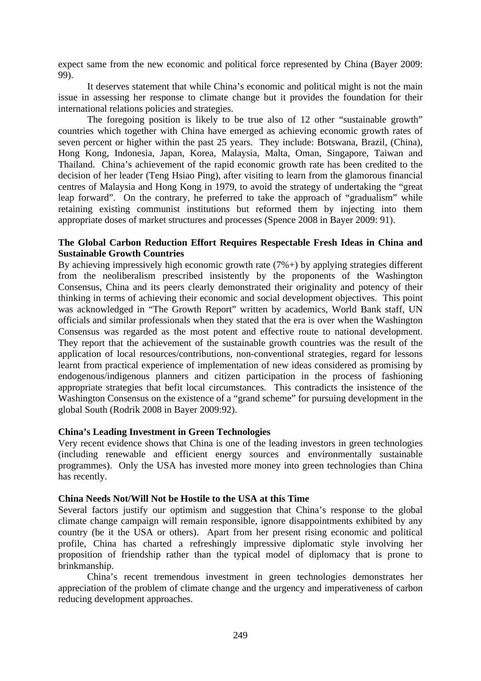expect same from the new economic and political force represented by China (Bayer 2009: 99).

It deserves statement that while China's economic and political might is not the main issue in assessing her response to climate change but it provides the foundation for their international relations policies and strategies.

The foregoing position is likely to be true also of 12 other "sustainable growth" countries which together with China have emerged as achieving economic growth rates of seven percent or higher within the past 25 years. They include: Botswana, Brazil, (China), Hong Kong, Indonesia, Japan, Korea, Malaysia, Malta, Oman, Singapore, Taiwan and Thailand. China's achievement of the rapid economic growth rate has been credited to the decision of her leader (Teng Hsiao Ping), after visiting to learn from the glamorous financial centres of Malaysia and Hong Kong in 1979, to avoid the strategy of undertaking the "great leap forward". On the contrary, he preferred to take the approach of "gradualism" while retaining existing communist institutions but reformed them by injecting into them appropriate doses of market structures and processes (Spence 2008 in Bayer 2009: 91).

# **The Global Carbon Reduction Effort Requires Respectable Fresh Ideas in China and Sustainable Growth Countries**

By achieving impressively high economic growth rate  $(7\%+)$  by applying strategies different from the neoliberalism prescribed insistently by the proponents of the Washington Consensus, China and its peers clearly demonstrated their originality and potency of their thinking in terms of achieving their economic and social development objectives. This point was acknowledged in "The Growth Report" written by academics, World Bank staff, UN officials and similar professionals when they stated that the era is over when the Washington Consensus was regarded as the most potent and effective route to national development. They report that the achievement of the sustainable growth countries was the result of the application of local resources/contributions, non-conventional strategies, regard for lessons learnt from practical experience of implementation of new ideas considered as promising by endogenous/indigenous planners and citizen participation in the process of fashioning appropriate strategies that befit local circumstances. This contradicts the insistence of the Washington Consensus on the existence of a "grand scheme" for pursuing development in the global South (Rodrik 2008 in Bayer 2009:92).

# **China's Leading Investment in Green Technologies**

Very recent evidence shows that China is one of the leading investors in green technologies (including renewable and efficient energy sources and environmentally sustainable programmes). Only the USA has invested more money into green technologies than China has recently.

# **China Needs Not/Will Not be Hostile to the USA at this Time**

Several factors justify our optimism and suggestion that China's response to the global climate change campaign will remain responsible, ignore disappointments exhibited by any country (be it the USA or others). Apart from her present rising economic and political profile, China has charted a refreshingly impressive diplomatic style involving her proposition of friendship rather than the typical model of diplomacy that is prone to brinkmanship.

China's recent tremendous investment in green technologies demonstrates her appreciation of the problem of climate change and the urgency and imperativeness of carbon reducing development approaches.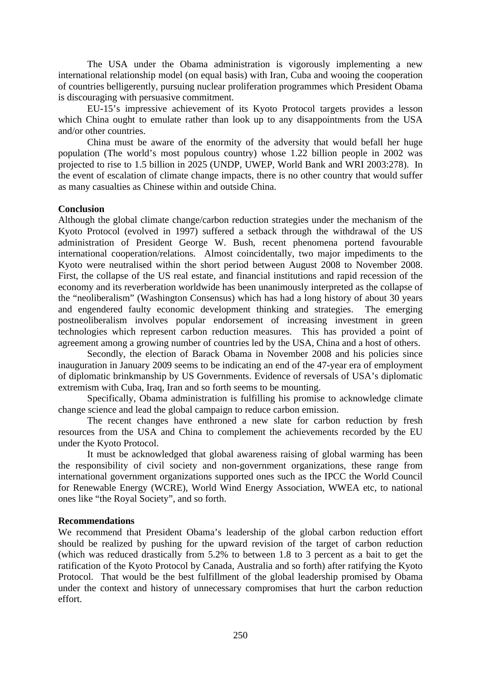The USA under the Obama administration is vigorously implementing a new international relationship model (on equal basis) with Iran, Cuba and wooing the cooperation of countries belligerently, pursuing nuclear proliferation programmes which President Obama is discouraging with persuasive commitment.

EU-15's impressive achievement of its Kyoto Protocol targets provides a lesson which China ought to emulate rather than look up to any disappointments from the USA and/or other countries.

China must be aware of the enormity of the adversity that would befall her huge population (The world's most populous country) whose 1.22 billion people in 2002 was projected to rise to 1.5 billion in 2025 (UNDP, UWEP, World Bank and WRI 2003:278). In the event of escalation of climate change impacts, there is no other country that would suffer as many casualties as Chinese within and outside China.

## **Conclusion**

Although the global climate change/carbon reduction strategies under the mechanism of the Kyoto Protocol (evolved in 1997) suffered a setback through the withdrawal of the US administration of President George W. Bush, recent phenomena portend favourable international cooperation/relations. Almost coincidentally, two major impediments to the Kyoto were neutralised within the short period between August 2008 to November 2008. First, the collapse of the US real estate, and financial institutions and rapid recession of the economy and its reverberation worldwide has been unanimously interpreted as the collapse of the "neoliberalism" (Washington Consensus) which has had a long history of about 30 years and engendered faulty economic development thinking and strategies. The emerging postneoliberalism involves popular endorsement of increasing investment in green technologies which represent carbon reduction measures. This has provided a point of agreement among a growing number of countries led by the USA, China and a host of others.

Secondly, the election of Barack Obama in November 2008 and his policies since inauguration in January 2009 seems to be indicating an end of the 47-year era of employment of diplomatic brinkmanship by US Governments. Evidence of reversals of USA's diplomatic extremism with Cuba, Iraq, Iran and so forth seems to be mounting.

Specifically, Obama administration is fulfilling his promise to acknowledge climate change science and lead the global campaign to reduce carbon emission.

The recent changes have enthroned a new slate for carbon reduction by fresh resources from the USA and China to complement the achievements recorded by the EU under the Kyoto Protocol.

It must be acknowledged that global awareness raising of global warming has been the responsibility of civil society and non-government organizations, these range from international government organizations supported ones such as the IPCC the World Council for Renewable Energy (WCRE), World Wind Energy Association, WWEA etc, to national ones like "the Royal Society", and so forth.

# **Recommendations**

We recommend that President Obama's leadership of the global carbon reduction effort should be realized by pushing for the upward revision of the target of carbon reduction (which was reduced drastically from 5.2% to between 1.8 to 3 percent as a bait to get the ratification of the Kyoto Protocol by Canada, Australia and so forth) after ratifying the Kyoto Protocol. That would be the best fulfillment of the global leadership promised by Obama under the context and history of unnecessary compromises that hurt the carbon reduction effort.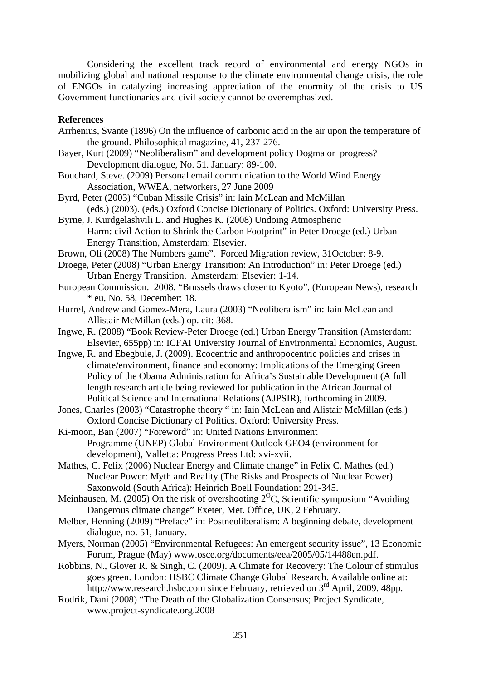Considering the excellent track record of environmental and energy NGOs in mobilizing global and national response to the climate environmental change crisis, the role of ENGOs in catalyzing increasing appreciation of the enormity of the crisis to US Government functionaries and civil society cannot be overemphasized.

# **References**

- Arrhenius, Svante (1896) On the influence of carbonic acid in the air upon the temperature of the ground. Philosophical magazine, 41, 237-276.
- Bayer, Kurt (2009) "Neoliberalism" and development policy Dogma or progress? Development dialogue, No. 51. January: 89-100.
- Bouchard, Steve. (2009) Personal email communication to the World Wind Energy Association, WWEA, networkers, 27 June 2009
- Byrd, Peter (2003) "Cuban Missile Crisis" in: lain McLean and McMillan (eds.) (2003). (eds.) Oxford Concise Dictionary of Politics. Oxford: University Press.
- Byrne, J. Kurdgelashvili L. and Hughes K. (2008) Undoing Atmospheric Harm: civil Action to Shrink the Carbon Footprint" in Peter Droege (ed.) Urban Energy Transition, Amsterdam: Elsevier.
- Brown, Oli (2008) The Numbers game". Forced Migration review, 31October: 8-9.
- Droege, Peter (2008) "Urban Energy Transition: An Introduction" in: Peter Droege (ed.) Urban Energy Transition. Amsterdam: Elsevier: 1-14.
- European Commission. 2008. "Brussels draws closer to Kyoto", (European News), research \* eu, No. 58, December: 18.
- Hurrel, Andrew and Gomez-Mera, Laura (2003) "Neoliberalism" in: Iain McLean and Allistair McMillan (eds.) op. cit: 368.
- Ingwe, R. (2008) "Book Review-Peter Droege (ed.) Urban Energy Transition (Amsterdam: Elsevier, 655pp) in: ICFAI University Journal of Environmental Economics, August.
- Ingwe, R. and Ebegbule, J. (2009). Ecocentric and anthropocentric policies and crises in climate/environment, finance and economy: Implications of the Emerging Green Policy of the Obama Administration for Africa's Sustainable Development (A full length research article being reviewed for publication in the African Journal of Political Science and International Relations (AJPSIR), forthcoming in 2009.
- Jones, Charles (2003) "Catastrophe theory " in: Iain McLean and Alistair McMillan (eds.) Oxford Concise Dictionary of Politics. Oxford: University Press.
- Ki-moon, Ban (2007) "Foreword" in: United Nations Environment Programme (UNEP) Global Environment Outlook GEO4 (environment for development), Valletta: Progress Press Ltd: xvi-xvii.
- Mathes, C. Felix (2006) Nuclear Energy and Climate change" in Felix C. Mathes (ed.) Nuclear Power: Myth and Reality (The Risks and Prospects of Nuclear Power). Saxonwold (South Africa): Heinrich Boell Foundation: 291-345.
- Meinhausen, M. (2005) On the risk of overshooting  $2^{0}C$ , Scientific symposium "Avoiding Dangerous climate change" Exeter, Met. Office, UK, 2 February.
- Melber, Henning (2009) "Preface" in: Postneoliberalism: A beginning debate, development dialogue, no. 51, January.
- Myers, Norman (2005) "Environmental Refugees: An emergent security issue", 13 Economic Forum, Prague (May) www.osce.org/documents/eea/2005/05/14488en.pdf.
- Robbins, N., Glover R. & Singh, C. (2009). A Climate for Recovery: The Colour of stimulus goes green. London: HSBC Climate Change Global Research. Available online at: http://www.research.hsbc.com since February, retrieved on 3<sup>rd</sup> April, 2009. 48pp.
- Rodrik, Dani (2008) "The Death of the Globalization Consensus; Project Syndicate, www.project-syndicate.org.2008